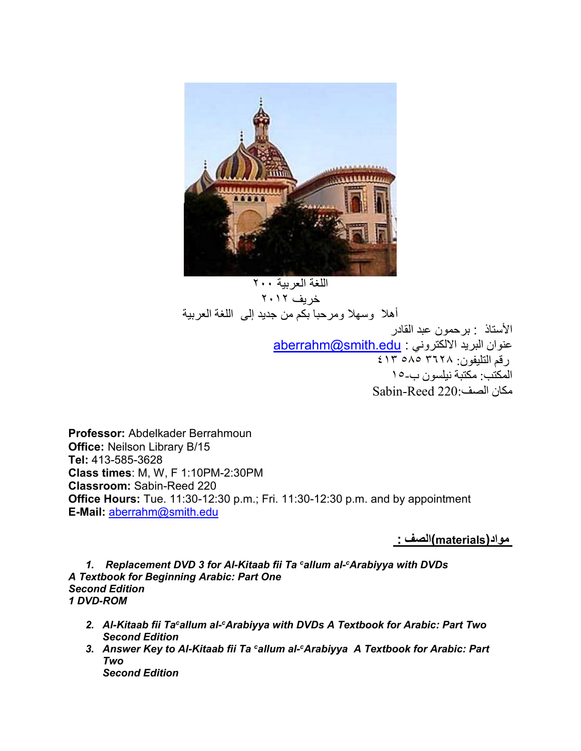

اللغة العربية ٢٠٠ خريف ٢٠١٢ أهال وسهال ومرحبا بكم من جديد إلى اللغة العربية األستاذ : برحمون عبد القادر عنوان البريد الالكتروني : aberrahm@smith.edu رقم التليفون: ٣٦٢٨ ٥٨٥ ٤١٣ المكتب: مكتبة نيلسون ب١٥- مكان الصف220: Reed-Sabin

**Professor:** Abdelkader Berrahmoun **Office:** Neilson Library B/15 **Tel:** 413-585-3628 **Class times**: M, W, F 1:10PM-2:30PM **Classroom:** Sabin-Reed 220 **Office Hours:** Tue. 11:30-12:30 p.m.; Fri. 11:30-12:30 p.m. and by appointment **E-Mail:** [aberrahm@smith.edu](mailto:aberrahm@smith.edu)

**مواد(materials(الصف :**

*1. Replacement DVD 3 for Al-Kitaab fii Ta <sup>c</sup>allum al-<sup>c</sup>Arabiyya with DVDs A Textbook for Beginning Arabic: Part One Second Edition 1 DVD-ROM*

- *2. Al-Kitaab fii Ta<sup>c</sup>allum al-<sup>c</sup>Arabiyya with DVDs A Textbook for Arabic: Part Two Second Edition*
- *3. Answer Key to Al-Kitaab fii Ta <sup>c</sup>allum al-<sup>c</sup>Arabiyya A Textbook for Arabic: Part Two Second Edition*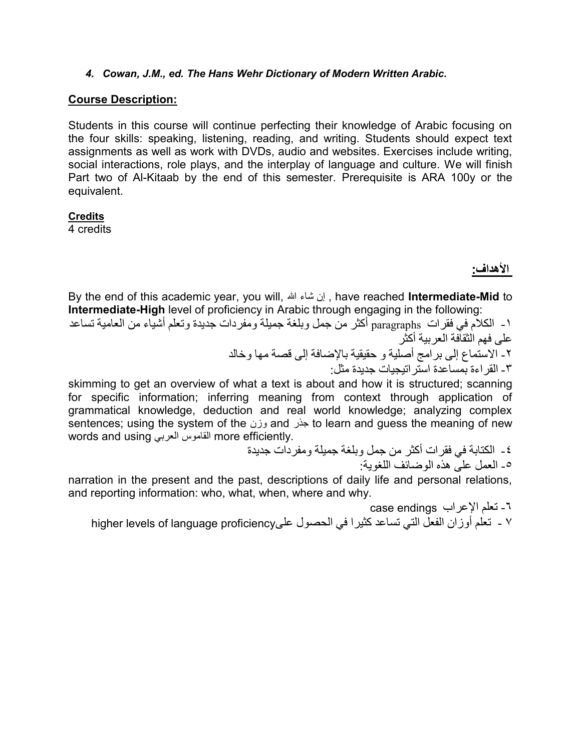#### *4. Cowan, J.M., ed. The Hans Wehr Dictionary of Modern Written Arabic.*

### **Course Description:**

Students in this course will continue perfecting their knowledge of Arabic focusing on the four skills: speaking, listening, reading, and writing. Students should expect text assignments as well as work with DVDs, audio and websites. Exercises include writing, social interactions, role plays, and the interplay of language and culture. We will finish Part two of Al-Kitaab by the end of this semester. Prerequisite is ARA 100y or the equivalent.

### **Credits**

4 credits

## **األهداف:**

By the end of this academic year, you will, هللا شاء إن , have reached **Intermediate-Mid** to **Intermediate-High** level of proficiency in Arabic through engaging in the following:

 -۱ الكالم في فقرات paragraphs أكثر من جمل وبلغة جميلة ومفردات جديدة وتعلم أشياء من العامية تساعد على فهم الثقافة العربية أكثر -۲ االستماع إلى برامج أصلية و حقيقية باإلضافة إلى قصة مها وخالد

-۳ القراءة بمساعدة استراتيجيات جديدة مثل:

skimming to get an overview of what a text is about and how it is structured; scanning for specific information; inferring meaning from context through application of grammatical knowledge, deduction and real world knowledge; analyzing complex sentences; using the system of the وزن and جذر to learn and guess the meaning of new words and using العربي القاموس more efficiently.

-٤ الكتابة في فقرات أكثر من جمل وبلغة جميلة ومفردات جديدة -٥ العمل على هذه الوضائف اللغوية:

narration in the present and the past, descriptions of daily life and personal relations, and reporting information: who, what, when, where and why.

-٦ تعلم اإلعراب endings case ۷ - تعلم أوزان الفعل التي تساعد كثيرا في الحصول علىproficiency language of levels higher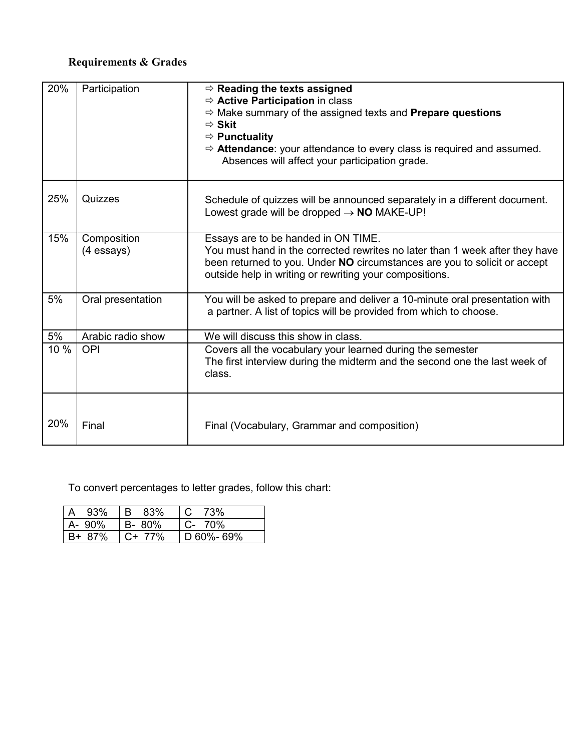## **Requirements & Grades**

| 20%  | Participation               | $\Rightarrow$ Reading the texts assigned<br>$\Rightarrow$ Active Participation in class<br>$\Rightarrow$ Make summary of the assigned texts and <b>Prepare questions</b><br>$\Rightarrow$ Skit<br>$\Rightarrow$ Punctuality<br>$\Rightarrow$ Attendance: your attendance to every class is required and assumed.<br>Absences will affect your participation grade. |
|------|-----------------------------|--------------------------------------------------------------------------------------------------------------------------------------------------------------------------------------------------------------------------------------------------------------------------------------------------------------------------------------------------------------------|
| 25%  | Quizzes                     | Schedule of quizzes will be announced separately in a different document.<br>Lowest grade will be dropped $\rightarrow$ NO MAKE-UP!                                                                                                                                                                                                                                |
| 15%  | Composition<br>$(4$ essays) | Essays are to be handed in ON TIME.<br>You must hand in the corrected rewrites no later than 1 week after they have<br>been returned to you. Under NO circumstances are you to solicit or accept<br>outside help in writing or rewriting your compositions.                                                                                                        |
| 5%   | Oral presentation           | You will be asked to prepare and deliver a 10-minute oral presentation with<br>a partner. A list of topics will be provided from which to choose.                                                                                                                                                                                                                  |
| 5%   | Arabic radio show           | We will discuss this show in class.                                                                                                                                                                                                                                                                                                                                |
| 10 % | <b>OPI</b>                  | Covers all the vocabulary your learned during the semester<br>The first interview during the midterm and the second one the last week of<br>class.                                                                                                                                                                                                                 |
| 20%  | Final                       | Final (Vocabulary, Grammar and composition)                                                                                                                                                                                                                                                                                                                        |

To convert percentages to letter grades, follow this chart:

| 93%    | 83%<br>$\cdot$ IB $\cdot$ | 73%                |
|--------|---------------------------|--------------------|
| A- 90% | B-80%                     | C- 70%             |
| B+ 87% | $C+ 77\%$                 | $\vert$ D 60%- 69% |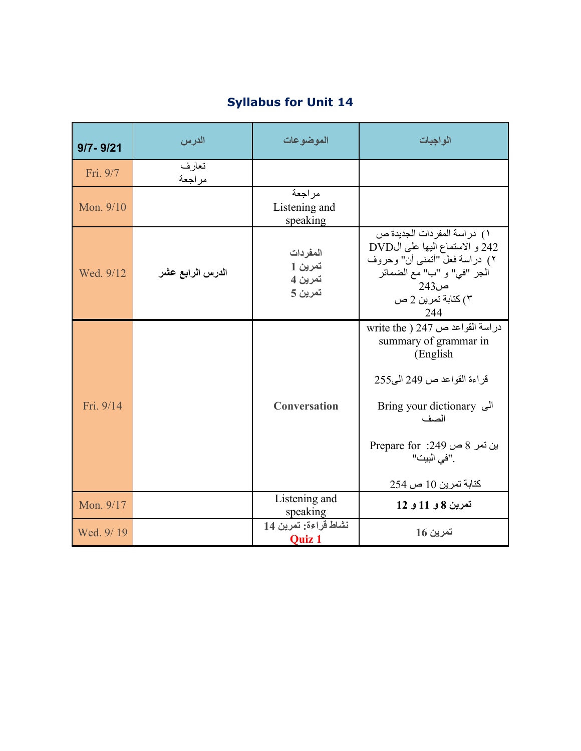| $9/7 - 9/21$ | الدرس            | الموضوعات                                 | الواجبات                                                                                                                                                                                                               |
|--------------|------------------|-------------------------------------------|------------------------------------------------------------------------------------------------------------------------------------------------------------------------------------------------------------------------|
| Fri. 9/7     | تعار ف<br>مراجعة |                                           |                                                                                                                                                                                                                        |
| Mon. 9/10    |                  | مر اجعة<br>Listening and<br>speaking      |                                                                                                                                                                                                                        |
| Wed. 9/12    | الدرس الرابع عشر | المفردات<br>تمرين 1<br>تمرين 4<br>تمرين 5 | ١) دراسة المفردات الجديدة ص<br>242 و الاستماع اليها على الDVD<br>٢) دراسة فعل "أتمنى أن" وحروف<br>الجر "في" و "ب" مع الضمائر<br>ص243<br>٢) كتابة تمرين 2 ص<br>244                                                      |
| Fri. 9/14    |                  | <b>Conversation</b>                       | دراسة القواعد ص 247 ( write the<br>summary of grammar in<br>(English)<br>قراءة القواعد ص 249 الى255<br><b>Bring your dictionary</b> الی<br>الصف<br>بن نمر 8 ص 249: Prepare for<br>. "في البيت"<br>كتابة تمرين 10 ص 254 |
| Mon. 9/17    |                  | Listening and<br>speaking                 | تمرين 8 و 11 و 12                                                                                                                                                                                                      |
| Wed. 9/19    |                  | نشاط قراءة: تمرين 14<br><b>Quiz 1</b>     | تمرين 16                                                                                                                                                                                                               |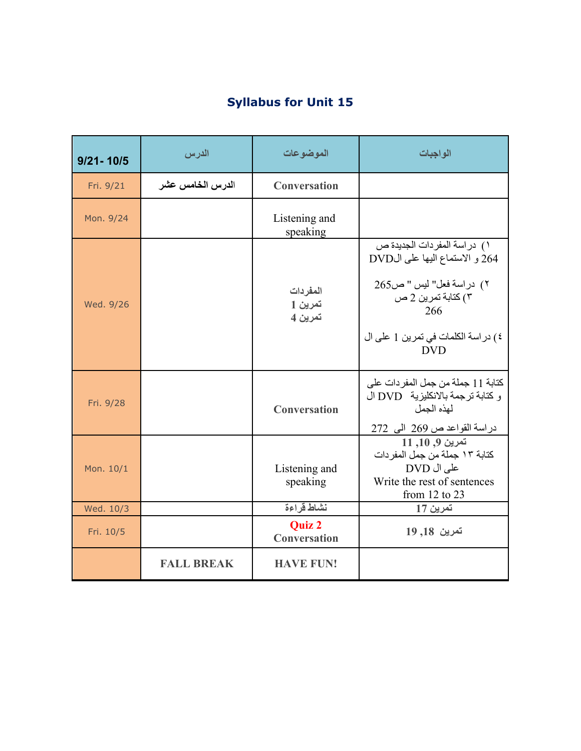| <b>Syllabus for Unit 15</b> |  |
|-----------------------------|--|
|-----------------------------|--|

| $9/21 - 10/5$ | الدرس             | الموضوعات                            | الواجبات                                                                                                                                                                      |
|---------------|-------------------|--------------------------------------|-------------------------------------------------------------------------------------------------------------------------------------------------------------------------------|
| Fri. 9/21     | الدرس الخامس عشر  | <b>Conversation</b>                  |                                                                                                                                                                               |
| Mon. 9/24     |                   | Listening and<br>speaking            |                                                                                                                                                                               |
| Wed. 9/26     |                   | المفردات<br>تمرين 1<br>تمرين 4       | ١) در اسة المفر دات الجديدة ص<br>264 و الاستماع اليها على الDVD<br>٢) دراسة فعل" ليس " ص265<br>۳) كتابة تمرين 2 ص<br>266<br>٤) در اسة الكلمات في تمرين 1 على ال<br><b>DVD</b> |
| Fri. 9/28     |                   | <b>Conversation</b>                  | كتابة 11 جملة من جمل المفردات على<br>و كتابة ترجمة بالانكليزية DVD ال<br>لهذه الجمل<br>دراسة القواعد ص 269 الى 272                                                            |
| Mon. 10/1     |                   | Listening and<br>speaking            | تمرين 9, 10, 11<br>كتابة ١٣ جملة من جمل المفر دات<br>على ال DVD<br>Write the rest of sentences<br>from $12$ to $23$                                                           |
| Wed. 10/3     |                   | نشاط قراءة                           | تمرين 17                                                                                                                                                                      |
| Fri. 10/5     |                   | <b>Quiz 2</b><br><b>Conversation</b> | تمرين 18, 19                                                                                                                                                                  |
|               | <b>FALL BREAK</b> | <b>HAVE FUN!</b>                     |                                                                                                                                                                               |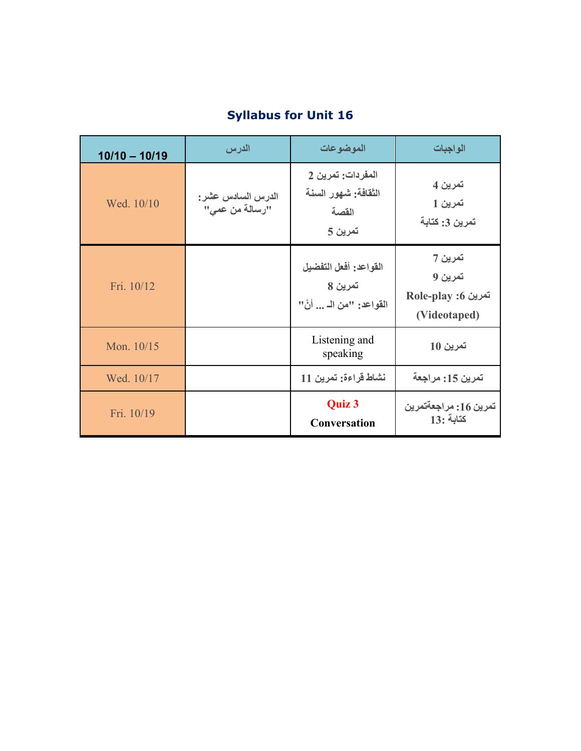# **Syllabus for Unit 16**

| $10/10 - 10/19$ | الدرس                                | الموضوعات                                                    | الو اجبات                                          |
|-----------------|--------------------------------------|--------------------------------------------------------------|----------------------------------------------------|
| Wed. 10/10      | الدرس السادس عشر :<br>"رسالة من عمى" | المفردات: تمرين 2<br>الثقافة: شهور السنة<br>القصة<br>تمرين 5 | تمرين 4<br>تمرين 1<br>تمرين 3: كتابة               |
| Fri. 10/12      |                                      | القواعد: أفعل التفضيل<br>تمرين 8<br>القواعد: "من الــ  أنْ"  | تمرين 7<br>تمرين 9<br>Role-play :6<br>(Videotaped) |
| Mon. 10/15      |                                      | Listening and<br>speaking                                    | تمرين 10                                           |
| Wed. 10/17      |                                      | نشاط قراءة: تمرين 11                                         | تمرين 15: مراجعة                                   |
| Fri. 10/19      |                                      | Quiz 3<br><b>Conversation</b>                                | تمرين 16: مراجعةتمرين<br>$13:$ كتابة               |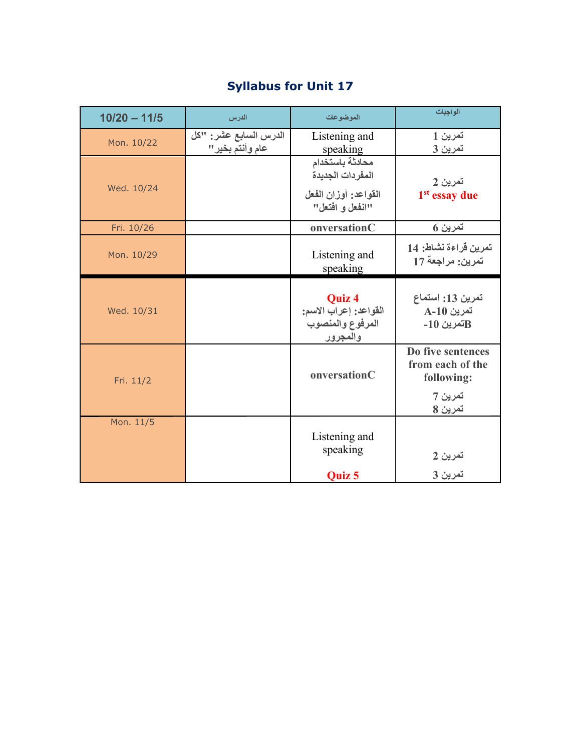## **Syllabus for Unit 17**

| $10/20 - 11/5$ | الدرس                                     | الموضوعات                                                                      | الواجبات                                                                  |
|----------------|-------------------------------------------|--------------------------------------------------------------------------------|---------------------------------------------------------------------------|
| Mon. 10/22     | الدرس السابع عشر: "كل<br>عام وأنتم بخير " | Listening and<br>speaking                                                      | تمرين 1<br>تمرين 3                                                        |
| Wed. 10/24     |                                           | محادثة باستخدام<br>المفردات الجديدة<br>القواعد: أوزان الفعل<br>"انفعل و افتعل" | تمرين 2<br>1 <sup>st</sup> essay due                                      |
| Fri. 10/26     |                                           | onversationC                                                                   | تمرين 6                                                                   |
| Mon. 10/29     |                                           | Listening and<br>speaking                                                      | تمرين قراءة نشاط: 14<br>تمرين: مراجعة 17                                  |
| Wed. 10/31     |                                           | Quiz 4<br>القواعد: إعراب الاسم:<br>المرفوع والمنصوب<br>والمجرور                | تمرين 13: استماع<br><b>A-10</b> تمرين<br>قمرين 10-                        |
| Fri. 11/2      |                                           | onversationC                                                                   | Do five sentences<br>from each of the<br>following:<br>تمرين 7<br>تمرين 8 |
| Mon. 11/5      |                                           | Listening and<br>speaking<br><b>Ouiz 5</b>                                     | تمرين 2<br>تمرين 3                                                        |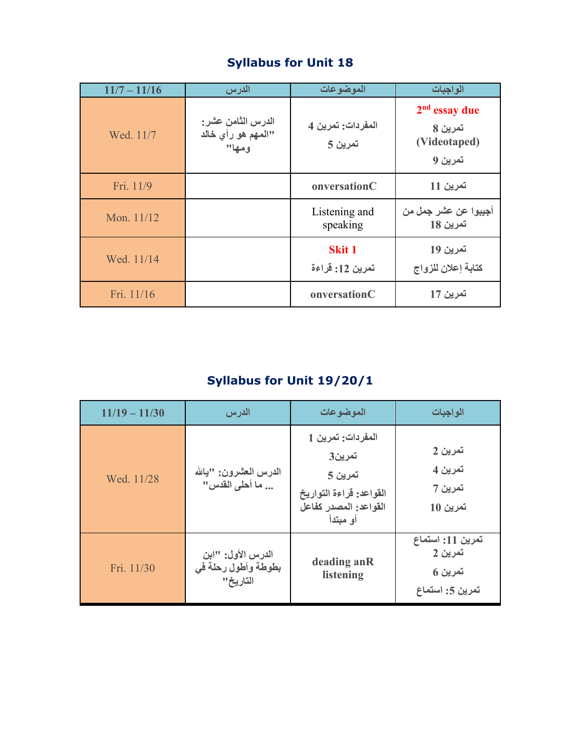| $11/7 - 11/16$ | الدرس                                            | الموضوعات                        | الواجبات                                              |
|----------------|--------------------------------------------------|----------------------------------|-------------------------------------------------------|
| Wed. 11/7      | الدرس الثامن عشر:<br>"المهم هو رأي خالد<br>ومها" | المفردات: تمرين 4<br>تمرين 5     | $2nd$ essay due<br>تمرين 8<br>(Videotaped)<br>تمرين 9 |
| Fri. 11/9      |                                                  | onversationC                     | تمرين 11                                              |
| Mon. 11/12     |                                                  | Listening and<br>speaking        | أجيبوا عن عشر ج <i>مل من</i><br>تمرين 18              |
| Wed. 11/14     |                                                  | <b>Skit 1</b><br>تمرين 12: قراءة | تمرين 19<br>كتابة إعلان للزواج                        |
| Fri. 11/16     |                                                  | onversationC                     | تمرين 17                                              |

# **Syllabus for Unit 19/20/1**

| $11/19 - 11/30$ | الدرس                                                | الموضوعات                                                                                              | الواجبات                                                  |
|-----------------|------------------------------------------------------|--------------------------------------------------------------------------------------------------------|-----------------------------------------------------------|
| Wed. 11/28      | الدرس المعشرون: "يالله<br>ما أحلى القدس"             | المفردات: تمرين 1<br>تمرين3<br>تمرين 5<br>القواعد: قراءة التواريخ<br>القواعد: المصدر كفاعل<br>أو مبتدأ | تمرين 2<br>تمرين 4<br>تمرين 7<br>تمرين 10                 |
| Fri. 11/30      | الدرس الأول: "ابن<br>بطوطة وأطول رحلة في<br>التاريخ" | deading anR<br>listening                                                                               | تمرين 11: استماع<br>تمرين 2<br>تمرين 6<br>تمرين 5: استماع |